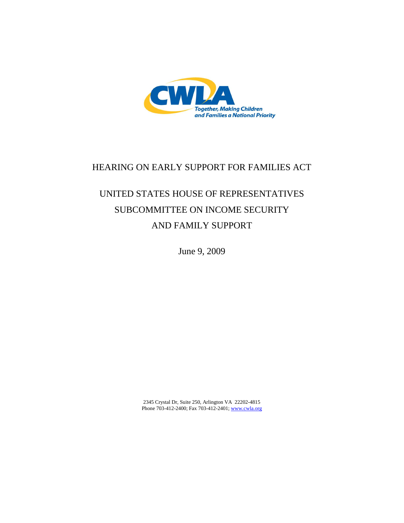

## HEARING ON EARLY SUPPORT FOR FAMILIES ACT

# UNITED STATES HOUSE OF REPRESENTATIVES SUBCOMMITTEE ON INCOME SECURITY AND FAMILY SUPPORT

June 9, 2009

2345 Crystal Dr, Suite 250, Arlington VA 22202-4815 Phone 703-412-2400; Fax 703-412-2401; www.cwla.org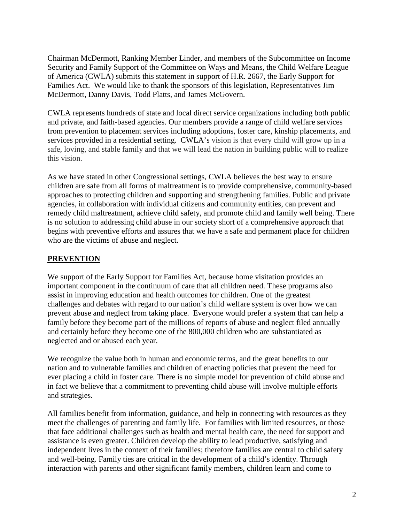Chairman McDermott, Ranking Member Linder, and members of the Subcommittee on Income Security and Family Support of the Committee on Ways and Means, the Child Welfare League of America (CWLA) submits this statement in support of H.R. 2667, the Early Support for Families Act. We would like to thank the sponsors of this legislation, Representatives Jim McDermott, Danny Davis, Todd Platts, and James McGovern.

CWLA represents hundreds of state and local direct service organizations including both public and private, and faith-based agencies. Our members provide a range of child welfare services from prevention to placement services including adoptions, foster care, kinship placements, and services provided in a residential setting. CWLA's vision is that every child will grow up in a safe, loving, and stable family and that we will lead the nation in building public will to realize this vision.

As we have stated in other Congressional settings, CWLA believes the best way to ensure children are safe from all forms of maltreatment is to provide comprehensive, community-based approaches to protecting children and supporting and strengthening families. Public and private agencies, in collaboration with individual citizens and community entities, can prevent and remedy child maltreatment, achieve child safety, and promote child and family well being. There is no solution to addressing child abuse in our society short of a comprehensive approach that begins with preventive efforts and assures that we have a safe and permanent place for children who are the victims of abuse and neglect.

### **PREVENTION**

We support of the Early Support for Families Act, because home visitation provides an important component in the continuum of care that all children need. These programs also assist in improving education and health outcomes for children. One of the greatest challenges and debates with regard to our nation's child welfare system is over how we can prevent abuse and neglect from taking place. Everyone would prefer a system that can help a family before they become part of the millions of reports of abuse and neglect filed annually and certainly before they become one of the 800,000 children who are substantiated as neglected and or abused each year.

We recognize the value both in human and economic terms, and the great benefits to our nation and to vulnerable families and children of enacting policies that prevent the need for ever placing a child in foster care. There is no simple model for prevention of child abuse and in fact we believe that a commitment to preventing child abuse will involve multiple efforts and strategies.

All families benefit from information, guidance, and help in connecting with resources as they meet the challenges of parenting and family life. For families with limited resources, or those that face additional challenges such as health and mental health care, the need for support and assistance is even greater. Children develop the ability to lead productive, satisfying and independent lives in the context of their families; therefore families are central to child safety and well-being. Family ties are critical in the development of a child's identity. Through interaction with parents and other significant family members, children learn and come to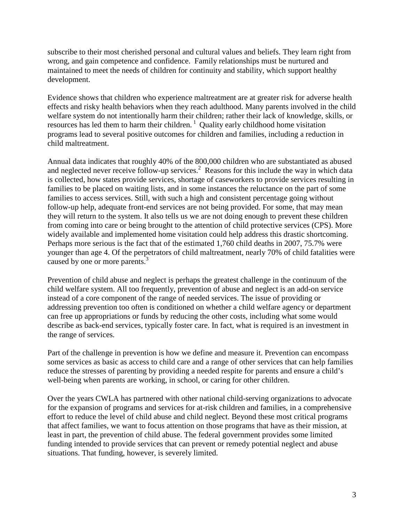subscribe to their most cherished personal and cultural values and beliefs. They learn right from wrong, and gain competence and confidence. Family relationships must be nurtured and maintained to meet the needs of children for continuity and stability, which support healthy development.

Evidence shows that children who experience maltreatment are at greater risk for adverse health effects and risky health behaviors when they reach adulthood. Many parents involved in the child welfare system do not intentionally harm their children; rather their lack of knowledge, skills, or resources has led them to harm their children.<sup>1</sup> Quality early childhood home visitation programs lead to several positive outcomes for children and families, including a reduction in child maltreatment.

Annual data indicates that roughly 40% of the 800,000 children who are substantiated as abused and neglected never receive follow-up services.<sup>2</sup> Reasons for this include the way in which data is collected, how states provide services, shortage of caseworkers to provide services resulting in families to be placed on waiting lists, and in some instances the reluctance on the part of some families to access services. Still, with such a high and consistent percentage going without follow-up help, adequate front-end services are not being provided. For some, that may mean they will return to the system. It also tells us we are not doing enough to prevent these children from coming into care or being brought to the attention of child protective services (CPS). More widely available and implemented home visitation could help address this drastic shortcoming. Perhaps more serious is the fact that of the estimated 1,760 child deaths in 2007, 75.7% were younger than age 4. Of the perpetrators of child maltreatment, nearly 70% of child fatalities were caused by one or more parents.<sup>3</sup>

Prevention of child abuse and neglect is perhaps the greatest challenge in the continuum of the child welfare system. All too frequently, prevention of abuse and neglect is an add-on service instead of a core component of the range of needed services. The issue of providing or addressing prevention too often is conditioned on whether a child welfare agency or department can free up appropriations or funds by reducing the other costs, including what some would describe as back-end services, typically foster care. In fact, what is required is an investment in the range of services.

Part of the challenge in prevention is how we define and measure it. Prevention can encompass some services as basic as access to child care and a range of other services that can help families reduce the stresses of parenting by providing a needed respite for parents and ensure a child's well-being when parents are working, in school, or caring for other children.

Over the years CWLA has partnered with other national child-serving organizations to advocate for the expansion of programs and services for at-risk children and families, in a comprehensive effort to reduce the level of child abuse and child neglect. Beyond these most critical programs that affect families, we want to focus attention on those programs that have as their mission, at least in part, the prevention of child abuse. The federal government provides some limited funding intended to provide services that can prevent or remedy potential neglect and abuse situations. That funding, however, is severely limited.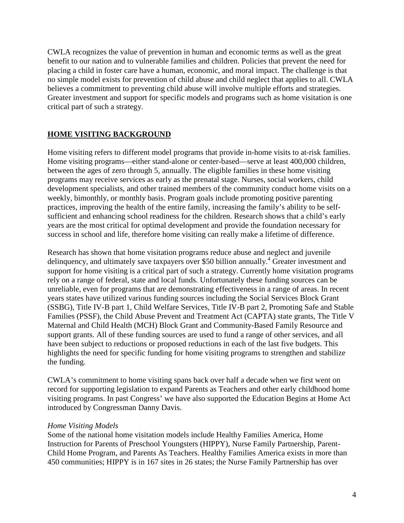CWLA recognizes the value of prevention in human and economic terms as well as the great benefit to our nation and to vulnerable families and children. Policies that prevent the need for placing a child in foster care have a human, economic, and moral impact. The challenge is that no simple model exists for prevention of child abuse and child neglect that applies to all. CWLA believes a commitment to preventing child abuse will involve multiple efforts and strategies. Greater investment and support for specific models and programs such as home visitation is one critical part of such a strategy.

### **HOME VISITING BACKGROUND**

Home visiting refers to different model programs that provide in-home visits to at-risk families. Home visiting programs—either stand-alone or center-based—serve at least 400,000 children, between the ages of zero through 5, annually. The eligible families in these home visiting programs may receive services as early as the prenatal stage. Nurses, social workers, child development specialists, and other trained members of the community conduct home visits on a weekly, bimonthly, or monthly basis. Program goals include promoting positive parenting practices, improving the health of the entire family, increasing the family's ability to be selfsufficient and enhancing school readiness for the children. Research shows that a child's early years are the most critical for optimal development and provide the foundation necessary for success in school and life, therefore home visiting can really make a lifetime of difference.

Research has shown that home visitation programs reduce abuse and neglect and juvenile delinquency, and ultimately save taxpayers over \$50 billion annually.<sup>4</sup> Greater investment and support for home visiting is a critical part of such a strategy. Currently home visitation programs rely on a range of federal, state and local funds. Unfortunately these funding sources can be unreliable, even for programs that are demonstrating effectiveness in a range of areas. In recent years states have utilized various funding sources including the Social Services Block Grant (SSBG), Title IV-B part 1, Child Welfare Services, Title IV-B part 2, Promoting Safe and Stable Families (PSSF), the Child Abuse Prevent and Treatment Act (CAPTA) state grants, The Title V Maternal and Child Health (MCH) Block Grant and Community-Based Family Resource and support grants. All of these funding sources are used to fund a range of other services, and all have been subject to reductions or proposed reductions in each of the last five budgets. This highlights the need for specific funding for home visiting programs to strengthen and stabilize the funding.

CWLA's commitment to home visiting spans back over half a decade when we first went on record for supporting legislation to expand Parents as Teachers and other early childhood home visiting programs. In past Congress' we have also supported the Education Begins at Home Act introduced by Congressman Danny Davis.

#### *Home Visiting Models*

Some of the national home visitation models include Healthy Families America, Home Instruction for Parents of Preschool Youngsters (HIPPY), Nurse Family Partnership, Parent-Child Home Program, and Parents As Teachers. Healthy Families America exists in more than 450 communities; HIPPY is in 167 sites in 26 states; the Nurse Family Partnership has over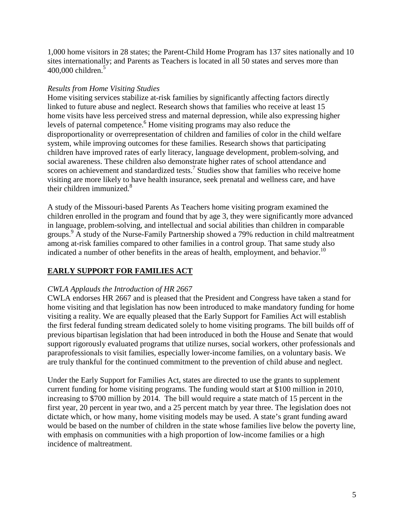1,000 home visitors in 28 states; the Parent-Child Home Program has 137 sites nationally and 10 sites internationally; and Parents as Teachers is located in all 50 states and serves more than  $400,000$  children.<sup>5</sup>

#### *Results from Home Visiting Studies*

Home visiting services stabilize at-risk families by significantly affecting factors directly linked to future abuse and neglect. Research shows that families who receive at least 15 home visits have less perceived stress and maternal depression, while also expressing higher levels of paternal competence.<sup>6</sup> Home visiting programs may also reduce the disproportionality or overrepresentation of children and families of color in the child welfare system, while improving outcomes for these families. Research shows that participating children have improved rates of early literacy, language development, problem-solving, and social awareness. These children also demonstrate higher rates of school attendance and scores on achievement and standardized tests.<sup>7</sup> Studies show that families who receive home visiting are more likely to have health insurance, seek prenatal and wellness care, and have their children immunized.<sup>8</sup>

A study of the Missouri-based Parents As Teachers home visiting program examined the children enrolled in the program and found that by age 3, they were significantly more advanced in language, problem-solving, and intellectual and social abilities than children in comparable groups.<sup>9</sup> A study of the Nurse-Family Partnership showed a 79% reduction in child maltreatment among at-risk families compared to other families in a control group. That same study also indicated a number of other benefits in the areas of health, employment, and behavior.<sup>10</sup>

### **EARLY SUPPORT FOR FAMILIES ACT**

#### *CWLA Applauds the Introduction of HR 2667*

CWLA endorses HR 2667 and is pleased that the President and Congress have taken a stand for home visiting and that legislation has now been introduced to make mandatory funding for home visiting a reality. We are equally pleased that the Early Support for Families Act will establish the first federal funding stream dedicated solely to home visiting programs. The bill builds off of previous bipartisan legislation that had been introduced in both the House and Senate that would support rigorously evaluated programs that utilize nurses, social workers, other professionals and paraprofessionals to visit families, especially lower-income families, on a voluntary basis. We are truly thankful for the continued commitment to the prevention of child abuse and neglect.

Under the Early Support for Families Act, states are directed to use the grants to supplement current funding for home visiting programs. The funding would start at \$100 million in 2010, increasing to \$700 million by 2014. The bill would require a state match of 15 percent in the first year, 20 percent in year two, and a 25 percent match by year three. The legislation does not dictate which, or how many, home visiting models may be used. A state's grant funding award would be based on the number of children in the state whose families live below the poverty line, with emphasis on communities with a high proportion of low-income families or a high incidence of maltreatment.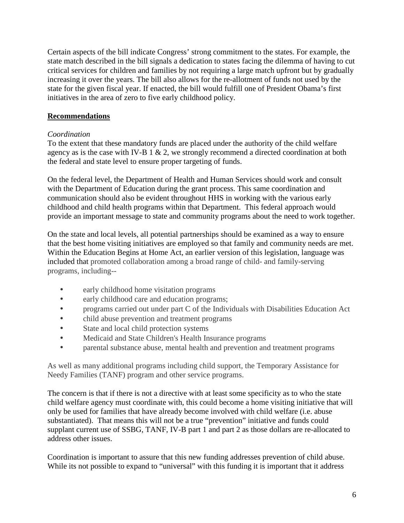Certain aspects of the bill indicate Congress' strong commitment to the states. For example, the state match described in the bill signals a dedication to states facing the dilemma of having to cut critical services for children and families by not requiring a large match upfront but by gradually increasing it over the years. The bill also allows for the re-allotment of funds not used by the state for the given fiscal year. If enacted, the bill would fulfill one of President Obama's first initiatives in the area of zero to five early childhood policy.

#### **Recommendations**

#### *Coordination*

To the extent that these mandatory funds are placed under the authority of the child welfare agency as is the case with IV-B 1  $\&$  2, we strongly recommend a directed coordination at both the federal and state level to ensure proper targeting of funds.

On the federal level, the Department of Health and Human Services should work and consult with the Department of Education during the grant process. This same coordination and communication should also be evident throughout HHS in working with the various early childhood and child health programs within that Department. This federal approach would provide an important message to state and community programs about the need to work together.

On the state and local levels, all potential partnerships should be examined as a way to ensure that the best home visiting initiatives are employed so that family and community needs are met. Within the Education Begins at Home Act, an earlier version of this legislation, language was included that promoted collaboration among a broad range of child- and family-serving programs, including--

- early childhood home visitation programs
- early childhood care and education programs;
- programs carried out under part C of the Individuals with Disabilities Education Act
- child abuse prevention and treatment programs
- State and local child protection systems
- Medicaid and State Children's Health Insurance programs
- parental substance abuse, mental health and prevention and treatment programs

As well as many additional programs including child support, the Temporary Assistance for Needy Families (TANF) program and other service programs.

The concern is that if there is not a directive with at least some specificity as to who the state child welfare agency must coordinate with, this could become a home visiting initiative that will only be used for families that have already become involved with child welfare (i.e. abuse substantiated). That means this will not be a true "prevention" initiative and funds could supplant current use of SSBG, TANF, IV-B part 1 and part 2 as those dollars are re-allocated to address other issues.

Coordination is important to assure that this new funding addresses prevention of child abuse. While its not possible to expand to "universal" with this funding it is important that it address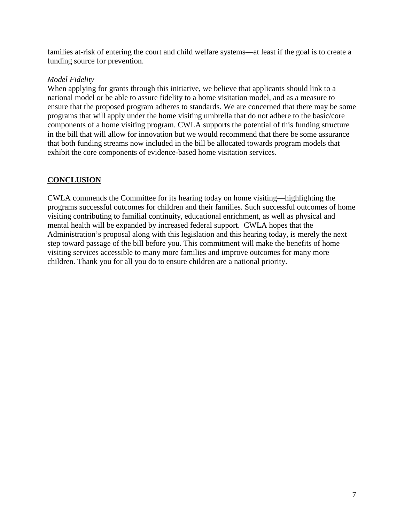families at-risk of entering the court and child welfare systems—at least if the goal is to create a funding source for prevention.

#### *Model Fidelity*

When applying for grants through this initiative, we believe that applicants should link to a national model or be able to assure fidelity to a home visitation model, and as a measure to ensure that the proposed program adheres to standards. We are concerned that there may be some programs that will apply under the home visiting umbrella that do not adhere to the basic/core components of a home visiting program. CWLA supports the potential of this funding structure in the bill that will allow for innovation but we would recommend that there be some assurance that both funding streams now included in the bill be allocated towards program models that exhibit the core components of evidence-based home visitation services.

#### **CONCLUSION**

CWLA commends the Committee for its hearing today on home visiting—highlighting the programs successful outcomes for children and their families. Such successful outcomes of home visiting contributing to familial continuity, educational enrichment, as well as physical and mental health will be expanded by increased federal support. CWLA hopes that the Administration's proposal along with this legislation and this hearing today, is merely the next step toward passage of the bill before you. This commitment will make the benefits of home visiting services accessible to many more families and improve outcomes for many more children. Thank you for all you do to ensure children are a national priority.